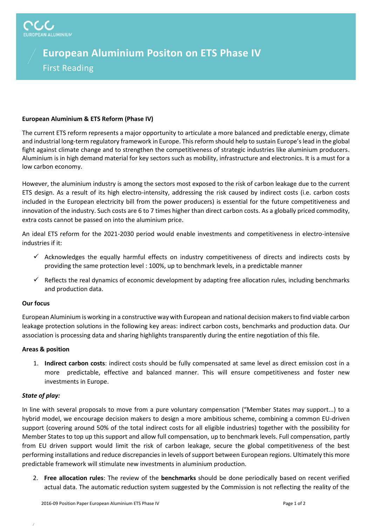# **European Aluminium Positon on ETS Phase IV**

## First Reading

### **European Aluminium & ETS Reform (Phase IV)**

The current ETS reform represents a major opportunity to articulate a more balanced and predictable energy, climate and industrial long-term regulatory framework in Europe. This reform should help to sustain Europe's lead in the global fight against climate change and to strengthen the competitiveness of strategic industries like aluminium producers. Aluminium is in high demand material for key sectors such as mobility, infrastructure and electronics. It is a must for a low carbon economy.

However, the aluminium industry is among the sectors most exposed to the risk of carbon leakage due to the current ETS design. As a result of its high electro-intensity, addressing the risk caused by indirect costs (i.e. carbon costs included in the European electricity bill from the power producers) is essential for the future competitiveness and innovation of the industry. Such costs are 6 to 7 times higher than direct carbon costs. As a globally priced commodity, extra costs cannot be passed on into the aluminium price.

An ideal ETS reform for the 2021-2030 period would enable investments and competitiveness in electro-intensive industries if it:

- $\checkmark$  Acknowledges the equally harmful effects on industry competitiveness of directs and indirects costs by providing the same protection level : 100%, up to benchmark levels, in a predictable manner
- $\checkmark$  Reflects the real dynamics of economic development by adapting free allocation rules, including benchmarks and production data.

#### **Our focus**

European Aluminium is working in a constructive way with European and national decision makers to find viable carbon leakage protection solutions in the following key areas: indirect carbon costs, benchmarks and production data. Our association is processing data and sharing highlights transparently during the entire negotiation of this file.

#### **Areas & position**

1. **Indirect carbon costs**: indirect costs should be fully compensated at same level as direct emission cost in a more predictable, effective and balanced manner. This will ensure competitiveness and foster new investments in Europe.

#### *State of play:*

In line with several proposals to move from a pure voluntary compensation ("Member States may support...) to a hybrid model, we encourage decision makers to design a more ambitious scheme, combining a common EU-driven support (covering around 50% of the total indirect costs for all eligible industries) together with the possibility for Member States to top up this support and allow full compensation, up to benchmark levels. Full compensation, partly from EU driven support would limit the risk of carbon leakage, secure the global competitiveness of the best performing installations and reduce discrepancies in levels of support between European regions. Ultimately this more predictable framework will stimulate new investments in aluminium production.

2. **Free allocation rules**: The review of the **benchmarks** should be done periodically based on recent verified actual data. The automatic reduction system suggested by the Commission is not reflecting the reality of the